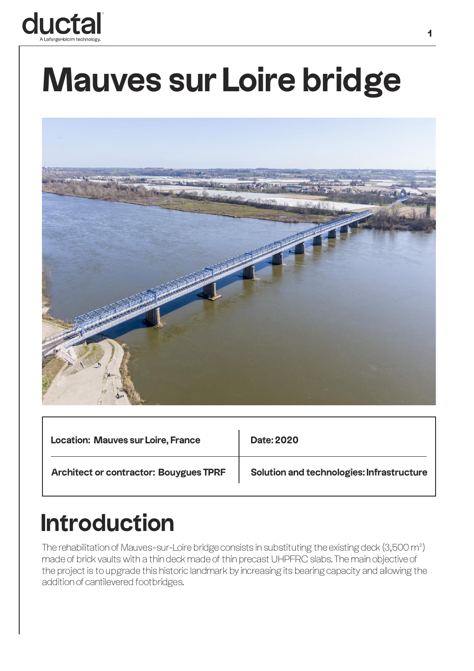

## **Mauves sur Loire bridge**



| <b>Location: Mauves sur Loire, France</b>     | <b>Date: 2020</b>                         |
|-----------------------------------------------|-------------------------------------------|
| <b>Architect or contractor: Bouygues TPRF</b> | Solution and technologies: Infrastructure |

## **Introduction**

The rehabilitation of Mauves-sur-Loire bridge consists in substituting the existing deck (3,500 m²) made of brick vaults with a thin deck made of thin precast UHPFRC slabs. The main objective of the project is to upgrade this historic landmark by increasing its bearing capacity and allowing the addition of cantilevered footbridges.